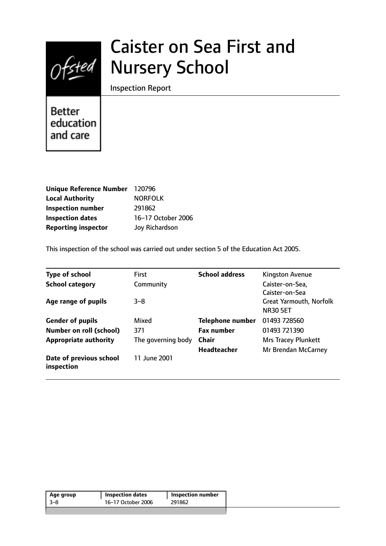

# Caister on Sea First and Nursery School

Inspection Report

Better education and care

| <b>Unique Reference Number</b> | 120796             |
|--------------------------------|--------------------|
| <b>Local Authority</b>         | <b>NORFOLK</b>     |
| <b>Inspection number</b>       | 291862             |
| <b>Inspection dates</b>        | 16-17 October 2006 |
| <b>Reporting inspector</b>     | Joy Richardson     |

This inspection of the school was carried out under section 5 of the Education Act 2005.

| <b>Type of school</b>                 | <b>First</b>       | <b>School address</b>   | Kingston Avenue                |
|---------------------------------------|--------------------|-------------------------|--------------------------------|
| <b>School category</b>                | Community          |                         | Caister-on-Sea,                |
|                                       |                    |                         | Caister-on-Sea                 |
| Age range of pupils                   | $3 - 8$            |                         | <b>Great Yarmouth, Norfolk</b> |
|                                       |                    |                         | <b>NR30 5ET</b>                |
| <b>Gender of pupils</b>               | Mixed              | <b>Telephone number</b> | 01493 728560                   |
| <b>Number on roll (school)</b>        | 371                | <b>Fax number</b>       | 01493 721390                   |
| <b>Appropriate authority</b>          | The governing body | <b>Chair</b>            | Mrs Tracey Plunkett            |
|                                       |                    | <b>Headteacher</b>      | Mr Brendan McCarney            |
| Date of previous school<br>inspection | 11 June 2001       |                         |                                |

| Age group | <b>Inspection dates</b> | <b>Inspection number</b> |
|-----------|-------------------------|--------------------------|
| -3–8      | 16-17 October 2006      | 291862                   |
|           |                         |                          |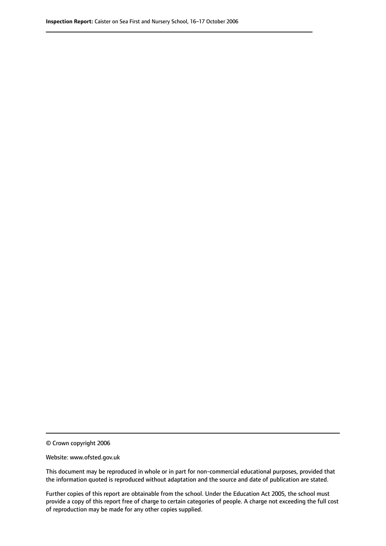© Crown copyright 2006

Website: www.ofsted.gov.uk

This document may be reproduced in whole or in part for non-commercial educational purposes, provided that the information quoted is reproduced without adaptation and the source and date of publication are stated.

Further copies of this report are obtainable from the school. Under the Education Act 2005, the school must provide a copy of this report free of charge to certain categories of people. A charge not exceeding the full cost of reproduction may be made for any other copies supplied.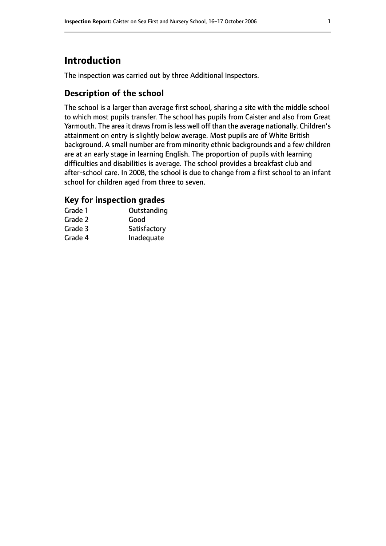# **Introduction**

The inspection was carried out by three Additional Inspectors.

## **Description of the school**

The school is a larger than average first school, sharing a site with the middle school to which most pupils transfer. The school has pupils from Caister and also from Great Yarmouth. The area it draws from is less well off than the average nationally. Children's attainment on entry is slightly below average. Most pupils are of White British background. A small number are from minority ethnic backgrounds and a few children are at an early stage in learning English. The proportion of pupils with learning difficulties and disabilities is average. The school provides a breakfast club and after-school care. In 2008, the school is due to change from a first school to an infant school for children aged from three to seven.

## **Key for inspection grades**

| Grade 1 | Outstanding  |
|---------|--------------|
| Grade 2 | Good         |
| Grade 3 | Satisfactory |
| Grade 4 | Inadequate   |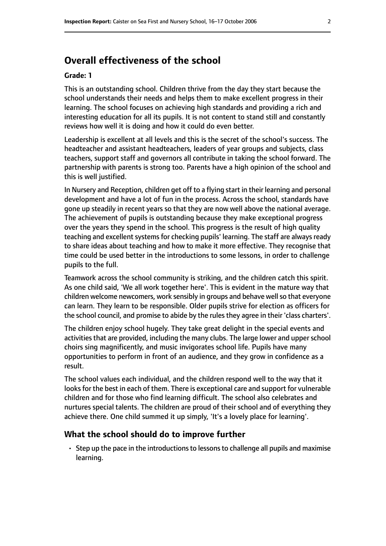# **Overall effectiveness of the school**

#### **Grade: 1**

This is an outstanding school. Children thrive from the day they start because the school understands their needs and helps them to make excellent progress in their learning. The school focuses on achieving high standards and providing a rich and interesting education for all its pupils. It is not content to stand still and constantly reviews how well it is doing and how it could do even better.

Leadership is excellent at all levels and this is the secret of the school's success. The headteacher and assistant headteachers, leaders of year groups and subjects, class teachers, support staff and governors all contribute in taking the school forward. The partnership with parents is strong too. Parents have a high opinion of the school and this is well justified.

In Nursery and Reception, children get off to a flying start in their learning and personal development and have a lot of fun in the process. Across the school, standards have gone up steadily in recent years so that they are now well above the national average. The achievement of pupils is outstanding because they make exceptional progress over the years they spend in the school. This progress is the result of high quality teaching and excellent systems for checking pupils' learning. The staff are always ready to share ideas about teaching and how to make it more effective. They recognise that time could be used better in the introductions to some lessons, in order to challenge pupils to the full.

Teamwork across the school community is striking, and the children catch this spirit. As one child said, 'We all work together here'. This is evident in the mature way that children welcome newcomers, work sensibly in groups and behave well so that everyone can learn. They learn to be responsible. Older pupils strive for election as officers for the school council, and promise to abide by the rules they agree in their 'class charters'.

The children enjoy school hugely. They take great delight in the special events and activities that are provided, including the many clubs. The large lower and upper school choirs sing magnificently, and music invigorates school life. Pupils have many opportunities to perform in front of an audience, and they grow in confidence as a result.

The school values each individual, and the children respond well to the way that it looks for the best in each of them. There is exceptional care and support for vulnerable children and for those who find learning difficult. The school also celebrates and nurtures special talents. The children are proud of their school and of everything they achieve there. One child summed it up simply, 'It's a lovely place for learning'.

#### **What the school should do to improve further**

 $\cdot$  Step up the pace in the introductions to lessons to challenge all pupils and maximise learning.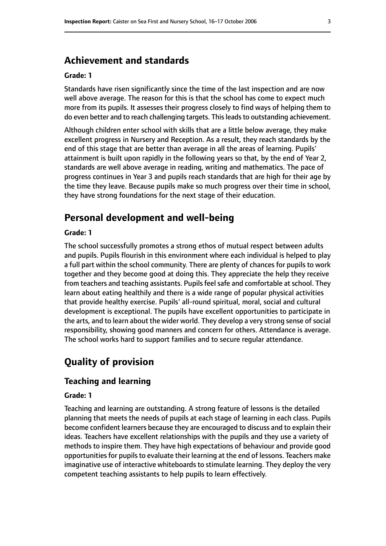# **Achievement and standards**

#### **Grade: 1**

Standards have risen significantly since the time of the last inspection and are now well above average. The reason for this is that the school has come to expect much more from its pupils. It assesses their progress closely to find ways of helping them to do even better and to reach challenging targets. Thisleadsto outstanding achievement.

Although children enter school with skills that are a little below average, they make excellent progress in Nursery and Reception. As a result, they reach standards by the end of this stage that are better than average in all the areas of learning. Pupils' attainment is built upon rapidly in the following years so that, by the end of Year 2, standards are well above average in reading, writing and mathematics. The pace of progress continues in Year 3 and pupils reach standards that are high for their age by the time they leave. Because pupils make so much progress over their time in school, they have strong foundations for the next stage of their education.

# **Personal development and well-being**

#### **Grade: 1**

The school successfully promotes a strong ethos of mutual respect between adults and pupils. Pupils flourish in this environment where each individual is helped to play a full part within the school community. There are plenty of chances for pupils to work together and they become good at doing this. They appreciate the help they receive from teachers and teaching assistants. Pupils feel safe and comfortable at school. They learn about eating healthily and there is a wide range of popular physical activities that provide healthy exercise. Pupils' all-round spiritual, moral, social and cultural development is exceptional. The pupils have excellent opportunities to participate in the arts, and to learn about the wider world. They develop a very strong sense of social responsibility, showing good manners and concern for others. Attendance is average. The school works hard to support families and to secure regular attendance.

# **Quality of provision**

#### **Teaching and learning**

#### **Grade: 1**

Teaching and learning are outstanding. A strong feature of lessons is the detailed planning that meets the needs of pupils at each stage of learning in each class. Pupils become confident learners because they are encouraged to discuss and to explain their ideas. Teachers have excellent relationships with the pupils and they use a variety of methods to inspire them. They have high expectations of behaviour and provide good opportunities for pupils to evaluate their learning at the end of lessons. Teachers make imaginative use of interactive whiteboards to stimulate learning. They deploy the very competent teaching assistants to help pupils to learn effectively.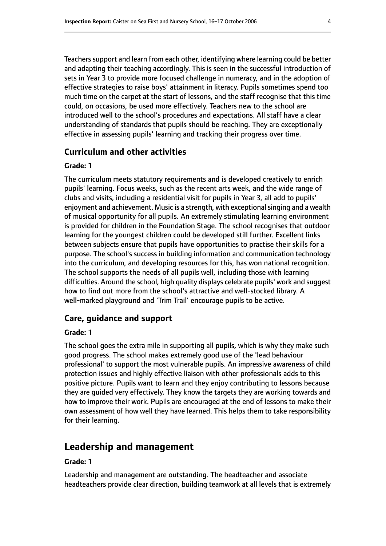Teachers support and learn from each other, identifying where learning could be better and adapting their teaching accordingly. This is seen in the successful introduction of sets in Year 3 to provide more focused challenge in numeracy, and in the adoption of effective strategies to raise boys' attainment in literacy. Pupils sometimes spend too much time on the carpet at the start of lessons, and the staff recognise that this time could, on occasions, be used more effectively. Teachers new to the school are introduced well to the school's procedures and expectations. All staff have a clear understanding of standards that pupils should be reaching. They are exceptionally effective in assessing pupils' learning and tracking their progress over time.

#### **Curriculum and other activities**

#### **Grade: 1**

The curriculum meets statutory requirements and is developed creatively to enrich pupils' learning. Focus weeks, such as the recent arts week, and the wide range of clubs and visits, including a residential visit for pupils in Year 3, all add to pupils' enjoyment and achievement. Music is a strength, with exceptional singing and a wealth of musical opportunity for all pupils. An extremely stimulating learning environment is provided for children in the Foundation Stage. The school recognises that outdoor learning for the youngest children could be developed still further. Excellent links between subjects ensure that pupils have opportunities to practise their skills for a purpose. The school's success in building information and communication technology into the curriculum, and developing resources for this, has won national recognition. The school supports the needs of all pupils well, including those with learning difficulties. Around the school, high quality displays celebrate pupils' work and suggest how to find out more from the school's attractive and well-stocked library. A well-marked playground and 'Trim Trail' encourage pupils to be active.

#### **Care, guidance and support**

#### **Grade: 1**

The school goes the extra mile in supporting all pupils, which is why they make such good progress. The school makes extremely good use of the 'lead behaviour professional' to support the most vulnerable pupils. An impressive awareness of child protection issues and highly effective liaison with other professionals adds to this positive picture. Pupils want to learn and they enjoy contributing to lessons because they are guided very effectively. They know the targets they are working towards and how to improve their work. Pupils are encouraged at the end of lessons to make their own assessment of how well they have learned. This helps them to take responsibility for their learning.

# **Leadership and management**

#### **Grade: 1**

Leadership and management are outstanding. The headteacher and associate headteachers provide clear direction, building teamwork at all levels that is extremely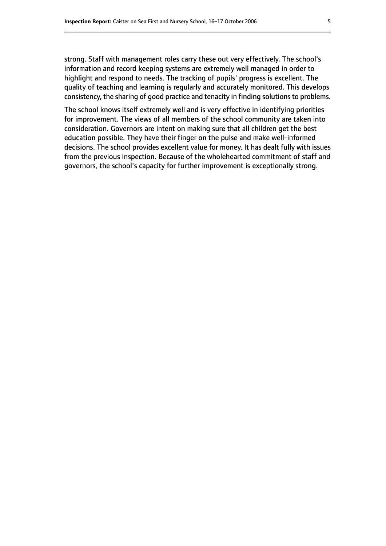strong. Staff with management roles carry these out very effectively. The school's information and record keeping systems are extremely well managed in order to highlight and respond to needs. The tracking of pupils' progress is excellent. The quality of teaching and learning is regularly and accurately monitored. This develops consistency, the sharing of good practice and tenacity in finding solutions to problems.

The school knows itself extremely well and is very effective in identifying priorities for improvement. The views of all members of the school community are taken into consideration. Governors are intent on making sure that all children get the best education possible. They have their finger on the pulse and make well-informed decisions. The school provides excellent value for money. It has dealt fully with issues from the previous inspection. Because of the wholehearted commitment of staff and governors, the school's capacity for further improvement is exceptionally strong.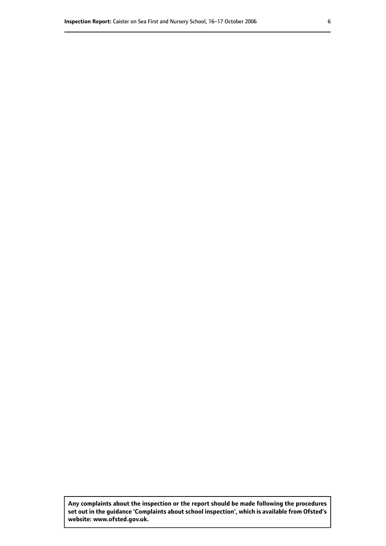**Any complaints about the inspection or the report should be made following the procedures set out inthe guidance 'Complaints about school inspection', whichis available from Ofsted's website: www.ofsted.gov.uk.**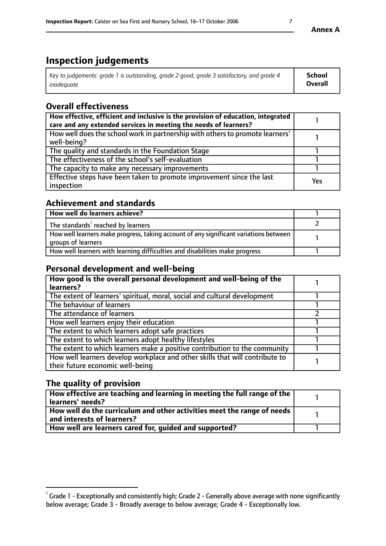# **Inspection judgements**

| Key to judgements: grade 1 is outstanding, grade 2 good, grade 3 satisfactory, and grade 4 | School         |
|--------------------------------------------------------------------------------------------|----------------|
| inadeauate                                                                                 | <b>Overall</b> |

# **Overall effectiveness**

| How effective, efficient and inclusive is the provision of education, integrated<br>care and any extended services in meeting the needs of learners? |     |
|------------------------------------------------------------------------------------------------------------------------------------------------------|-----|
| How well does the school work in partnership with others to promote learners'<br>well-being?                                                         |     |
| The quality and standards in the Foundation Stage                                                                                                    |     |
| The effectiveness of the school's self-evaluation                                                                                                    |     |
| The capacity to make any necessary improvements                                                                                                      |     |
| Effective steps have been taken to promote improvement since the last<br>inspection                                                                  | Yes |

## **Achievement and standards**

| How well do learners achieve?                                                                               |  |
|-------------------------------------------------------------------------------------------------------------|--|
| The standards <sup>1</sup> reached by learners                                                              |  |
| How well learners make progress, taking account of any significant variations between<br>groups of learners |  |
| How well learners with learning difficulties and disabilities make progress                                 |  |

# **Personal development and well-being**

| How good is the overall personal development and well-being of the<br>learners?                                  |  |
|------------------------------------------------------------------------------------------------------------------|--|
| The extent of learners' spiritual, moral, social and cultural development                                        |  |
| The behaviour of learners                                                                                        |  |
| The attendance of learners                                                                                       |  |
| How well learners enjoy their education                                                                          |  |
| The extent to which learners adopt safe practices                                                                |  |
| The extent to which learners adopt healthy lifestyles                                                            |  |
| The extent to which learners make a positive contribution to the community                                       |  |
| How well learners develop workplace and other skills that will contribute to<br>their future economic well-being |  |

# **The quality of provision**

| How effective are teaching and learning in meeting the full range of the<br>  learners' needs?                             |  |
|----------------------------------------------------------------------------------------------------------------------------|--|
| $\mid$ How well do the curriculum and other activities meet the range of needs $\mid$<br>$\mid$ and interests of learners? |  |
| How well are learners cared for, guided and supported?                                                                     |  |

**Annex A**

 $^1$  Grade 1 - Exceptionally and consistently high; Grade 2 - Generally above average with none significantly below average; Grade 3 - Broadly average to below average; Grade 4 - Exceptionally low.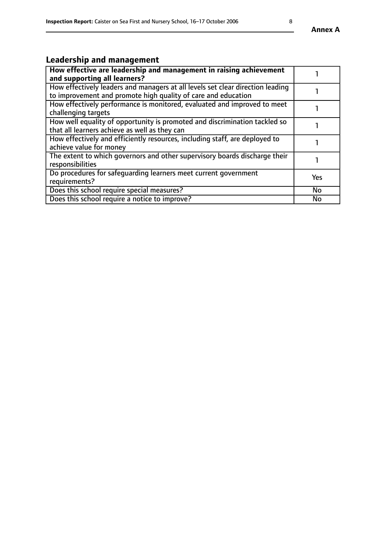# **Leadership and management**

| How effective are leadership and management in raising achievement<br>and supporting all learners?                                              |           |
|-------------------------------------------------------------------------------------------------------------------------------------------------|-----------|
| How effectively leaders and managers at all levels set clear direction leading<br>to improvement and promote high quality of care and education |           |
| How effectively performance is monitored, evaluated and improved to meet<br>challenging targets                                                 |           |
| How well equality of opportunity is promoted and discrimination tackled so<br>that all learners achieve as well as they can                     |           |
| How effectively and efficiently resources, including staff, are deployed to<br>achieve value for money                                          |           |
| The extent to which governors and other supervisory boards discharge their<br>responsibilities                                                  |           |
| Do procedures for safeguarding learners meet current government<br>requirements?                                                                | Yes       |
| Does this school require special measures?                                                                                                      | <b>No</b> |
| Does this school require a notice to improve?                                                                                                   | <b>No</b> |